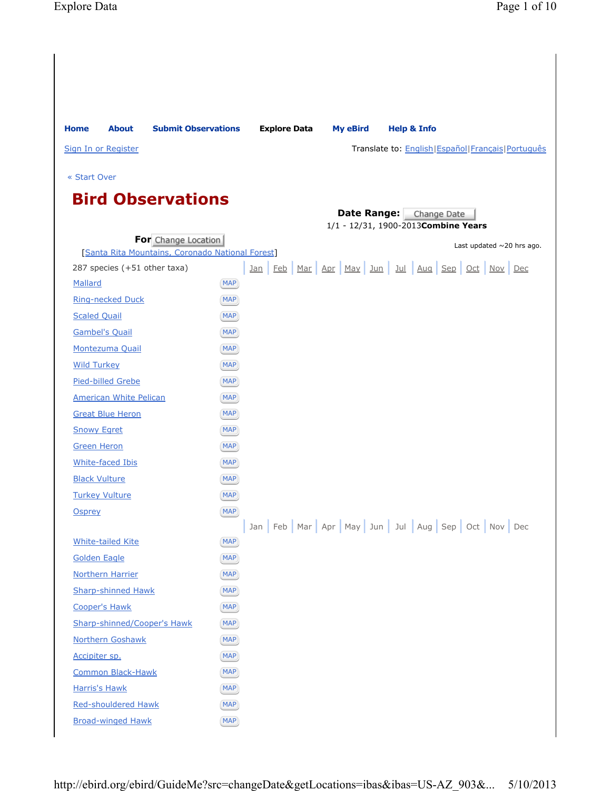| <b>Home</b>                                     | <b>About</b>                  | <b>Submit Observations</b>                       |                          | <b>Explore Data</b> | <b>My eBird</b> | <b>Help &amp; Info</b>                                          |                                                        |
|-------------------------------------------------|-------------------------------|--------------------------------------------------|--------------------------|---------------------|-----------------|-----------------------------------------------------------------|--------------------------------------------------------|
| Sign In or Register                             |                               |                                                  |                          |                     |                 |                                                                 | Translate to: English   Español   Français   Português |
| « Start Over                                    |                               |                                                  |                          |                     |                 |                                                                 |                                                        |
|                                                 |                               |                                                  |                          |                     |                 |                                                                 |                                                        |
|                                                 |                               | <b>Bird Observations</b>                         |                          |                     |                 |                                                                 |                                                        |
|                                                 |                               |                                                  |                          |                     |                 | Date Range: Change Date<br>1/1 - 12/31, 1900-2013 Combine Years |                                                        |
|                                                 |                               | For Change Location                              |                          |                     |                 |                                                                 | Last updated $\sim$ 20 hrs ago.                        |
|                                                 |                               | [Santa Rita Mountains, Coronado National Forest] |                          |                     |                 |                                                                 |                                                        |
|                                                 | 287 species (+51 other taxa)  |                                                  |                          |                     |                 | Jan Feb Mar Apr May Jun Jul Aug Sep Oct Nov Dec                 |                                                        |
| Mallard                                         |                               |                                                  | <b>MAP</b>               |                     |                 |                                                                 |                                                        |
| <b>Ring-necked Duck</b>                         |                               |                                                  | <b>MAP</b>               |                     |                 |                                                                 |                                                        |
| <b>Scaled Quail</b>                             |                               |                                                  | <b>MAP</b>               |                     |                 |                                                                 |                                                        |
| <b>Gambel's Quail</b>                           |                               |                                                  | MAP                      |                     |                 |                                                                 |                                                        |
| Montezuma Quail                                 |                               |                                                  | <b>MAP</b>               |                     |                 |                                                                 |                                                        |
| <b>Wild Turkey</b>                              |                               |                                                  | <b>MAP</b>               |                     |                 |                                                                 |                                                        |
| <b>Pied-billed Grebe</b>                        |                               |                                                  | <b>MAP</b>               |                     |                 |                                                                 |                                                        |
|                                                 | <b>American White Pelican</b> |                                                  | <b>MAP</b>               |                     |                 |                                                                 |                                                        |
| <b>Great Blue Heron</b>                         |                               |                                                  | <b>MAP</b>               |                     |                 |                                                                 |                                                        |
| <b>Snowy Egret</b>                              |                               |                                                  | MAP                      |                     |                 |                                                                 |                                                        |
| <b>Green Heron</b>                              |                               |                                                  | MAP                      |                     |                 |                                                                 |                                                        |
| <b>White-faced Ibis</b>                         |                               |                                                  | <b>MAP</b>               |                     |                 |                                                                 |                                                        |
| <b>Black Vulture</b>                            |                               |                                                  | <b>MAP</b>               |                     |                 |                                                                 |                                                        |
| <b>Turkey Vulture</b>                           |                               |                                                  | <b>MAP</b>               |                     |                 |                                                                 |                                                        |
| <b>Osprey</b>                                   |                               |                                                  | <b>MAP</b>               |                     |                 |                                                                 |                                                        |
|                                                 |                               |                                                  |                          |                     |                 | Jan Feb Mar Apr May Jun Jul Aug Sep Oct Nov Dec                 |                                                        |
| <b>White-tailed Kite</b><br><b>Golden Eagle</b> |                               |                                                  | <b>MAP</b><br><b>MAP</b> |                     |                 |                                                                 |                                                        |
| <b>Northern Harrier</b>                         |                               |                                                  | <b>MAP</b>               |                     |                 |                                                                 |                                                        |
|                                                 | <b>Sharp-shinned Hawk</b>     |                                                  | <b>MAP</b>               |                     |                 |                                                                 |                                                        |
| <b>Cooper's Hawk</b>                            |                               |                                                  | <b>MAP</b>               |                     |                 |                                                                 |                                                        |
|                                                 |                               | <b>Sharp-shinned/Cooper's Hawk</b>               | MAP)                     |                     |                 |                                                                 |                                                        |
| <b>Northern Goshawk</b>                         |                               |                                                  | MAP)                     |                     |                 |                                                                 |                                                        |
| Accipiter sp.                                   |                               |                                                  | MAP                      |                     |                 |                                                                 |                                                        |
|                                                 | <b>Common Black-Hawk</b>      |                                                  | <b>MAP</b>               |                     |                 |                                                                 |                                                        |
| <b>Harris's Hawk</b>                            |                               |                                                  | <b>MAP</b>               |                     |                 |                                                                 |                                                        |
|                                                 | <b>Red-shouldered Hawk</b>    |                                                  | MAP)                     |                     |                 |                                                                 |                                                        |
|                                                 | <b>Broad-winged Hawk</b>      |                                                  | <b>MAP</b>               |                     |                 |                                                                 |                                                        |
|                                                 |                               |                                                  |                          |                     |                 |                                                                 |                                                        |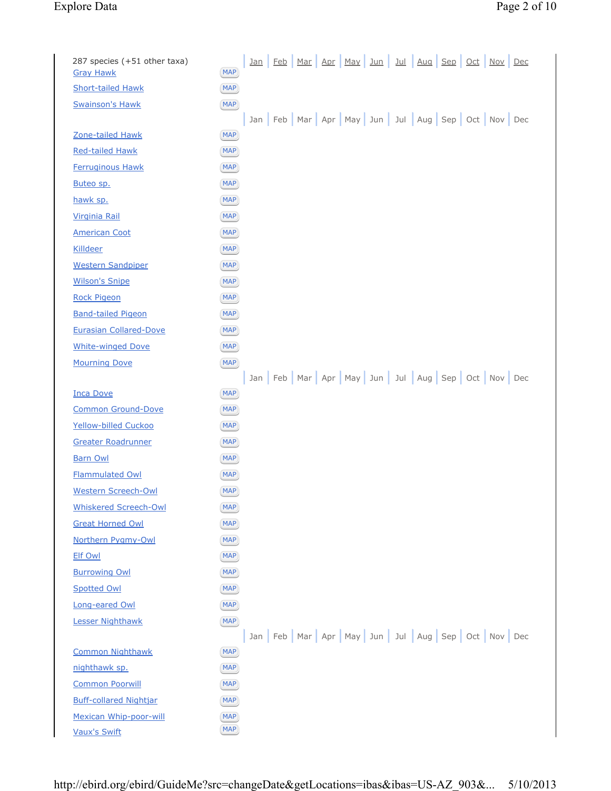# Explore Data Page 2 of 10

| 287 species (+51 other taxa)<br><b>Gray Hawk</b> | <u>Jan Feb Mar Apr May Jun Jul Aug Sep Oct Nov Dec</u><br><b>MAP</b> |
|--------------------------------------------------|----------------------------------------------------------------------|
| <b>Short-tailed Hawk</b>                         | <b>MAP</b>                                                           |
| <b>Swainson's Hawk</b>                           | <b>MAP</b>                                                           |
|                                                  | Jan Feb Mar Apr May Jun Jul Aug Sep Oct Nov Dec                      |
| Zone-tailed Hawk                                 | <b>MAP</b>                                                           |
| <b>Red-tailed Hawk</b>                           | <b>MAP</b>                                                           |
| <b>Ferruginous Hawk</b>                          | <b>MAP</b>                                                           |
| Buteo sp.                                        | <b>MAP</b>                                                           |
| hawk sp.                                         | <b>MAP</b>                                                           |
| <b>Virginia Rail</b>                             | <b>MAP</b>                                                           |
| <b>American Coot</b>                             | <b>MAP</b>                                                           |
| <b>Killdeer</b>                                  | <b>MAP</b>                                                           |
| <b>Western Sandpiper</b>                         | <b>MAP</b>                                                           |
| <b>Wilson's Snipe</b>                            | <b>MAP</b>                                                           |
| <b>Rock Pigeon</b>                               | <b>MAP</b>                                                           |
| <b>Band-tailed Pigeon</b>                        | <b>MAP</b>                                                           |
| <b>Eurasian Collared-Dove</b>                    | <b>MAP</b>                                                           |
| <b>White-winged Dove</b>                         | <b>MAP</b>                                                           |
| <b>Mourning Dove</b>                             | <b>MAP</b>                                                           |
|                                                  | Jan Feb Mar Apr May Jun Jul Aug Sep Oct Nov Dec                      |
| <b>Inca Dove</b>                                 | <b>MAP</b>                                                           |
| Common Ground-Dove                               | <b>MAP</b>                                                           |
| Yellow-billed Cuckoo                             | <b>MAP</b>                                                           |
| Greater Roadrunner                               | <b>MAP</b>                                                           |
| <b>Barn Owl</b>                                  | <b>MAP</b>                                                           |
| <b>Flammulated Owl</b>                           | <b>MAP</b>                                                           |
| Western Screech-Owl                              | <b>MAP</b>                                                           |
| <b>Whiskered Screech-Owl</b>                     | <b>MAP</b>                                                           |
| <b>Great Horned Owl</b>                          | <b>MAP</b>                                                           |
| Northern Pygmy-Owl                               | <b>MAP</b>                                                           |
| <b>Elf Owl</b>                                   | <b>MAP</b>                                                           |
| <b>Burrowing Owl</b>                             | <b>MAP</b>                                                           |
| <b>Spotted Owl</b>                               | <b>MAP</b>                                                           |
| Long-eared Owl                                   | <b>MAP</b>                                                           |
| <b>Lesser Nighthawk</b>                          | <b>MAP</b>                                                           |
|                                                  | Jan Feb Mar Apr May Jun Jul Aug Sep Oct Nov Dec                      |
| <b>Common Nighthawk</b>                          | <b>MAP</b>                                                           |
| nighthawk sp.                                    | <b>MAP</b>                                                           |
| <b>Common Poorwill</b>                           | <b>MAP</b>                                                           |
| <b>Buff-collared Nightjar</b>                    | <b>MAP</b>                                                           |
| Mexican Whip-poor-will<br><b>Vaux's Swift</b>    | <b>MAP</b><br><b>MAP</b>                                             |
|                                                  |                                                                      |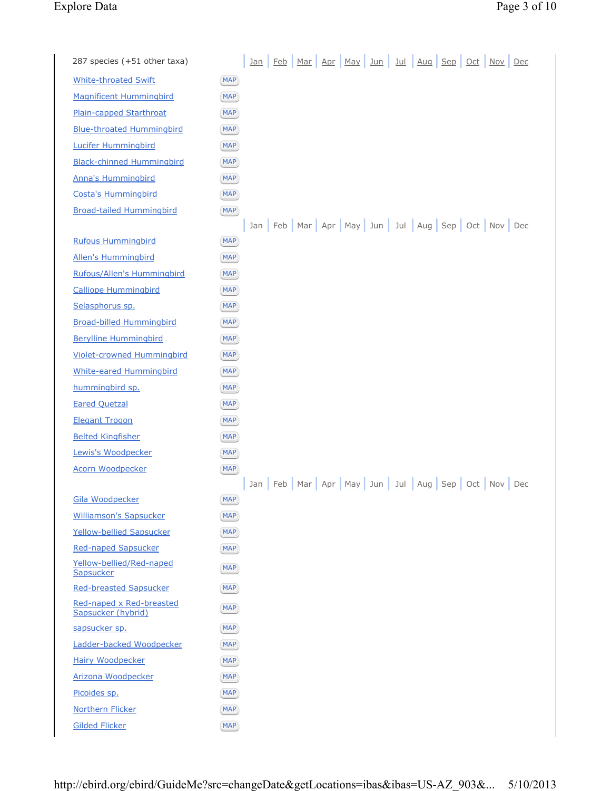## Explore Data Page 3 of 10

| 287 species (+51 other taxa)                   |            | <u>Jan</u> |  | Feb Mar Apr May                                                       | Jun | <u>Jul</u> | <u>Aug Sep Oct Nov Dec</u> |  |  |
|------------------------------------------------|------------|------------|--|-----------------------------------------------------------------------|-----|------------|----------------------------|--|--|
| <b>White-throated Swift</b>                    | <b>MAP</b> |            |  |                                                                       |     |            |                            |  |  |
| <b>Magnificent Hummingbird</b>                 | <b>MAP</b> |            |  |                                                                       |     |            |                            |  |  |
| Plain-capped Starthroat                        | <b>MAP</b> |            |  |                                                                       |     |            |                            |  |  |
| <b>Blue-throated Hummingbird</b>               | <b>MAP</b> |            |  |                                                                       |     |            |                            |  |  |
| <b>Lucifer Hummingbird</b>                     | <b>MAP</b> |            |  |                                                                       |     |            |                            |  |  |
| <b>Black-chinned Hummingbird</b>               | <b>MAP</b> |            |  |                                                                       |     |            |                            |  |  |
| <b>Anna's Hummingbird</b>                      | <b>MAP</b> |            |  |                                                                       |     |            |                            |  |  |
| <b>Costa's Hummingbird</b>                     | <b>MAP</b> |            |  |                                                                       |     |            |                            |  |  |
| <b>Broad-tailed Hummingbird</b>                | <b>MAP</b> |            |  |                                                                       |     |            |                            |  |  |
|                                                |            |            |  | Jan   Feb   Mar   Apr   May   Jun   Jul   Aug   Sep   Oct   Nov   Dec |     |            |                            |  |  |
| <b>Rufous Hummingbird</b>                      | <b>MAP</b> |            |  |                                                                       |     |            |                            |  |  |
| <b>Allen's Hummingbird</b>                     | <b>MAP</b> |            |  |                                                                       |     |            |                            |  |  |
| Rufous/Allen's Hummingbird                     | <b>MAP</b> |            |  |                                                                       |     |            |                            |  |  |
| <b>Calliope Hummingbird</b>                    | <b>MAP</b> |            |  |                                                                       |     |            |                            |  |  |
| Selasphorus sp.                                | <b>MAP</b> |            |  |                                                                       |     |            |                            |  |  |
| <b>Broad-billed Hummingbird</b>                | <b>MAP</b> |            |  |                                                                       |     |            |                            |  |  |
| <b>Berylline Hummingbird</b>                   | <b>MAP</b> |            |  |                                                                       |     |            |                            |  |  |
| <b>Violet-crowned Hummingbird</b>              | <b>MAP</b> |            |  |                                                                       |     |            |                            |  |  |
| <b>White-eared Hummingbird</b>                 | <b>MAP</b> |            |  |                                                                       |     |            |                            |  |  |
| hummingbird sp.                                | <b>MAP</b> |            |  |                                                                       |     |            |                            |  |  |
| <b>Eared Quetzal</b>                           | <b>MAP</b> |            |  |                                                                       |     |            |                            |  |  |
| <b>Elegant Trogon</b>                          | <b>MAP</b> |            |  |                                                                       |     |            |                            |  |  |
| <b>Belted Kingfisher</b>                       | <b>MAP</b> |            |  |                                                                       |     |            |                            |  |  |
| Lewis's Woodpecker                             | <b>MAP</b> |            |  |                                                                       |     |            |                            |  |  |
| <b>Acorn Woodpecker</b>                        | <b>MAP</b> |            |  |                                                                       |     |            |                            |  |  |
|                                                |            |            |  | Jan   Feb   Mar   Apr   May   Jun   Jul   Aug   Sep   Oct   Nov   Dec |     |            |                            |  |  |
| Gila Woodpecker                                | <b>MAP</b> |            |  |                                                                       |     |            |                            |  |  |
| <b>Williamson's Sapsucker</b>                  | <b>MAP</b> |            |  |                                                                       |     |            |                            |  |  |
| <b>Yellow-bellied Sapsucker</b>                | <b>MAP</b> |            |  |                                                                       |     |            |                            |  |  |
| <b>Red-naped Sapsucker</b>                     | <b>MAP</b> |            |  |                                                                       |     |            |                            |  |  |
| Yellow-bellied/Red-naped<br>Sapsucker          | <b>MAP</b> |            |  |                                                                       |     |            |                            |  |  |
| <b>Red-breasted Sapsucker</b>                  | <b>MAP</b> |            |  |                                                                       |     |            |                            |  |  |
| Red-naped x Red-breasted<br>Sapsucker (hybrid) | <b>MAP</b> |            |  |                                                                       |     |            |                            |  |  |
| sapsucker sp.                                  | <b>MAP</b> |            |  |                                                                       |     |            |                            |  |  |
| Ladder-backed Woodpecker                       | <b>MAP</b> |            |  |                                                                       |     |            |                            |  |  |
| <b>Hairy Woodpecker</b>                        | <b>MAP</b> |            |  |                                                                       |     |            |                            |  |  |
| Arizona Woodpecker                             | <b>MAP</b> |            |  |                                                                       |     |            |                            |  |  |
| Picoides sp.                                   | <b>MAP</b> |            |  |                                                                       |     |            |                            |  |  |
| <b>Northern Flicker</b>                        | <b>MAP</b> |            |  |                                                                       |     |            |                            |  |  |
| <b>Gilded Flicker</b>                          | <b>MAP</b> |            |  |                                                                       |     |            |                            |  |  |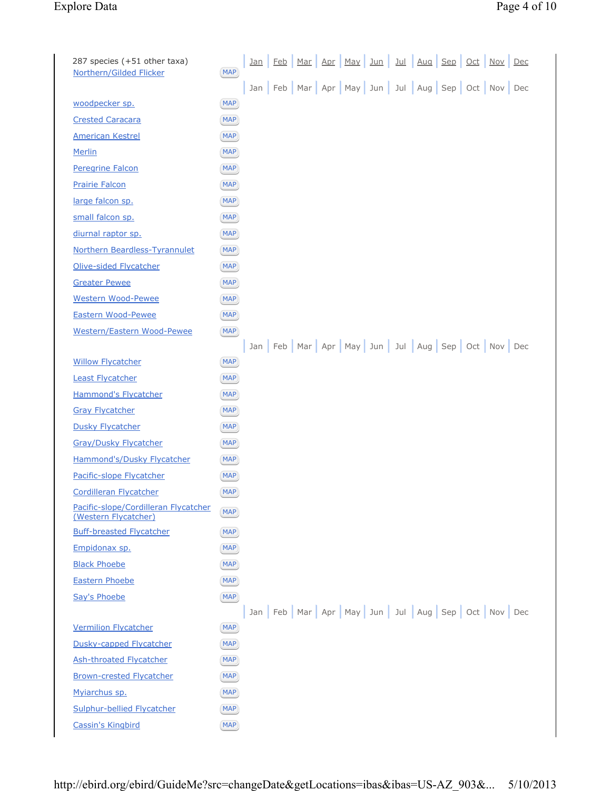| 287 species (+51 other taxa)<br>Northern/Gilded Flicker      | <b>MAP</b> | <u>Jan</u> | Feb | Mar | <u>Apr</u> | May <sub>l</sub> | <u>Jun</u>                                                            | <u>Jul</u> | Aug |  | Sep Oct Nov Dec |  |
|--------------------------------------------------------------|------------|------------|-----|-----|------------|------------------|-----------------------------------------------------------------------|------------|-----|--|-----------------|--|
|                                                              |            |            |     |     |            |                  | Jan   Feb   Mar   Apr   May   Jun   Jul   Aug   Sep   Oct   Nov   Dec |            |     |  |                 |  |
| woodpecker sp.                                               | <b>MAP</b> |            |     |     |            |                  |                                                                       |            |     |  |                 |  |
| <b>Crested Caracara</b>                                      | <b>MAP</b> |            |     |     |            |                  |                                                                       |            |     |  |                 |  |
| <b>American Kestrel</b>                                      | <b>MAP</b> |            |     |     |            |                  |                                                                       |            |     |  |                 |  |
| Merlin                                                       | <b>MAP</b> |            |     |     |            |                  |                                                                       |            |     |  |                 |  |
| Peregrine Falcon                                             | <b>MAP</b> |            |     |     |            |                  |                                                                       |            |     |  |                 |  |
| <b>Prairie Falcon</b>                                        | <b>MAP</b> |            |     |     |            |                  |                                                                       |            |     |  |                 |  |
| large falcon sp.                                             | <b>MAP</b> |            |     |     |            |                  |                                                                       |            |     |  |                 |  |
| small falcon sp.                                             | <b>MAP</b> |            |     |     |            |                  |                                                                       |            |     |  |                 |  |
| diurnal raptor sp.                                           | <b>MAP</b> |            |     |     |            |                  |                                                                       |            |     |  |                 |  |
| Northern Beardless-Tyrannulet                                | <b>MAP</b> |            |     |     |            |                  |                                                                       |            |     |  |                 |  |
| Olive-sided Flycatcher                                       | <b>MAP</b> |            |     |     |            |                  |                                                                       |            |     |  |                 |  |
| <b>Greater Pewee</b>                                         | <b>MAP</b> |            |     |     |            |                  |                                                                       |            |     |  |                 |  |
| <b>Western Wood-Pewee</b>                                    | <b>MAP</b> |            |     |     |            |                  |                                                                       |            |     |  |                 |  |
| Eastern Wood-Pewee                                           | <b>MAP</b> |            |     |     |            |                  |                                                                       |            |     |  |                 |  |
| Western/Eastern Wood-Pewee                                   | <b>MAP</b> |            |     |     |            |                  |                                                                       |            |     |  |                 |  |
|                                                              |            |            |     |     |            |                  | Jan   Feb   Mar   Apr   May   Jun   Jul   Aug   Sep   Oct   Nov   Dec |            |     |  |                 |  |
| <b>Willow Flycatcher</b>                                     | <b>MAP</b> |            |     |     |            |                  |                                                                       |            |     |  |                 |  |
| <b>Least Flycatcher</b>                                      | <b>MAP</b> |            |     |     |            |                  |                                                                       |            |     |  |                 |  |
| Hammond's Flycatcher                                         | <b>MAP</b> |            |     |     |            |                  |                                                                       |            |     |  |                 |  |
| <b>Gray Flycatcher</b>                                       | <b>MAP</b> |            |     |     |            |                  |                                                                       |            |     |  |                 |  |
| <b>Dusky Flycatcher</b>                                      | <b>MAP</b> |            |     |     |            |                  |                                                                       |            |     |  |                 |  |
| <b>Gray/Dusky Flycatcher</b>                                 | <b>MAP</b> |            |     |     |            |                  |                                                                       |            |     |  |                 |  |
| Hammond's/Dusky Flycatcher                                   | <b>MAP</b> |            |     |     |            |                  |                                                                       |            |     |  |                 |  |
| Pacific-slope Flycatcher                                     | <b>MAP</b> |            |     |     |            |                  |                                                                       |            |     |  |                 |  |
| Cordilleran Flycatcher                                       | <b>MAP</b> |            |     |     |            |                  |                                                                       |            |     |  |                 |  |
| Pacific-slope/Cordilleran Flycatcher<br>(Western Flycatcher) | <b>MAP</b> |            |     |     |            |                  |                                                                       |            |     |  |                 |  |
| <b>Buff-breasted Flycatcher</b>                              | <b>MAP</b> |            |     |     |            |                  |                                                                       |            |     |  |                 |  |
| Empidonax sp.                                                | <b>MAP</b> |            |     |     |            |                  |                                                                       |            |     |  |                 |  |
| <b>Black Phoebe</b>                                          | <b>MAP</b> |            |     |     |            |                  |                                                                       |            |     |  |                 |  |
| <b>Eastern Phoebe</b>                                        | <b>MAP</b> |            |     |     |            |                  |                                                                       |            |     |  |                 |  |
| Say's Phoebe                                                 | <b>MAP</b> |            |     |     |            |                  |                                                                       |            |     |  |                 |  |
|                                                              |            |            |     |     |            |                  | Jan Feb Mar Apr May Jun Jul Aug Sep Oct Nov Dec                       |            |     |  |                 |  |
| <b>Vermilion Flycatcher</b>                                  | <b>MAP</b> |            |     |     |            |                  |                                                                       |            |     |  |                 |  |
| Dusky-capped Flycatcher                                      | <b>MAP</b> |            |     |     |            |                  |                                                                       |            |     |  |                 |  |
| <b>Ash-throated Flycatcher</b>                               | <b>MAP</b> |            |     |     |            |                  |                                                                       |            |     |  |                 |  |
| <b>Brown-crested Flycatcher</b>                              | <b>MAP</b> |            |     |     |            |                  |                                                                       |            |     |  |                 |  |
| Myiarchus sp.                                                | <b>MAP</b> |            |     |     |            |                  |                                                                       |            |     |  |                 |  |
| Sulphur-bellied Flycatcher                                   | <b>MAP</b> |            |     |     |            |                  |                                                                       |            |     |  |                 |  |
| <b>Cassin's Kingbird</b>                                     | <b>MAP</b> |            |     |     |            |                  |                                                                       |            |     |  |                 |  |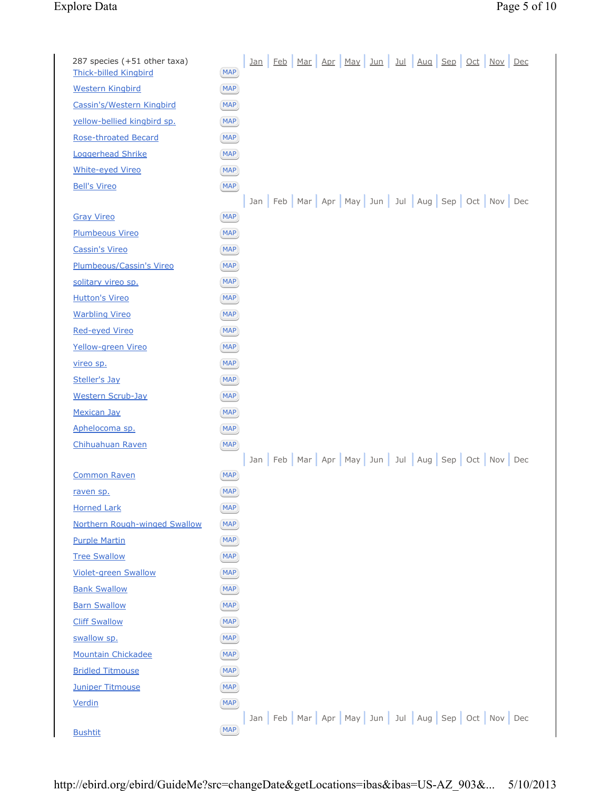# Explore Data

|                                         | Page 5 of 10 |  |
|-----------------------------------------|--------------|--|
| <u>ul   Aug   Sep   Oct   Nov   Dec</u> |              |  |

| 287 species (+51 other taxa)<br><b>Thick-billed Kingbird</b> | <b>MAP</b>               | <u>Jan</u> | <u>Feb</u> | Mar                                             | <u>Apr</u> | <b>May</b> | $Jun$ | <u>Jul</u> | Aug | Sep | $Oct$ | Nov | Dec |  |
|--------------------------------------------------------------|--------------------------|------------|------------|-------------------------------------------------|------------|------------|-------|------------|-----|-----|-------|-----|-----|--|
|                                                              |                          |            |            |                                                 |            |            |       |            |     |     |       |     |     |  |
| <b>Western Kingbird</b><br>Cassin's/Western Kingbird         | MAP)<br><b>MAP</b>       |            |            |                                                 |            |            |       |            |     |     |       |     |     |  |
| yellow-bellied kingbird sp.                                  | <b>MAP</b>               |            |            |                                                 |            |            |       |            |     |     |       |     |     |  |
| <b>Rose-throated Becard</b>                                  | MAP)                     |            |            |                                                 |            |            |       |            |     |     |       |     |     |  |
|                                                              |                          |            |            |                                                 |            |            |       |            |     |     |       |     |     |  |
| Loggerhead Shrike<br><b>White-eyed Vireo</b>                 | <b>MAP</b><br><b>MAP</b> |            |            |                                                 |            |            |       |            |     |     |       |     |     |  |
| <b>Bell's Vireo</b>                                          | <b>MAP</b>               |            |            |                                                 |            |            |       |            |     |     |       |     |     |  |
|                                                              |                          |            |            | Jan Feb Mar Apr May Jun Jul Aug Sep Oct Nov Dec |            |            |       |            |     |     |       |     |     |  |
| <b>Gray Vireo</b>                                            | <b>MAP</b>               |            |            |                                                 |            |            |       |            |     |     |       |     |     |  |
| <b>Plumbeous Vireo</b>                                       | <b>MAP</b>               |            |            |                                                 |            |            |       |            |     |     |       |     |     |  |
| <b>Cassin's Vireo</b>                                        | <b>MAP</b>               |            |            |                                                 |            |            |       |            |     |     |       |     |     |  |
| Plumbeous/Cassin's Vireo                                     | <b>MAP</b>               |            |            |                                                 |            |            |       |            |     |     |       |     |     |  |
| solitary vireo sp.                                           | MAP)                     |            |            |                                                 |            |            |       |            |     |     |       |     |     |  |
| <b>Hutton's Vireo</b>                                        | <b>MAP</b>               |            |            |                                                 |            |            |       |            |     |     |       |     |     |  |
| <b>Warbling Vireo</b>                                        | <b>MAP</b>               |            |            |                                                 |            |            |       |            |     |     |       |     |     |  |
| Red-eyed Vireo                                               | <b>MAP</b>               |            |            |                                                 |            |            |       |            |     |     |       |     |     |  |
| Yellow-green Vireo                                           | <b>MAP</b>               |            |            |                                                 |            |            |       |            |     |     |       |     |     |  |
| <u>vireo sp.</u>                                             | <b>MAP</b>               |            |            |                                                 |            |            |       |            |     |     |       |     |     |  |
| Steller's Jay                                                | <b>MAP</b>               |            |            |                                                 |            |            |       |            |     |     |       |     |     |  |
| <b>Western Scrub-Jay</b>                                     | <b>MAP</b>               |            |            |                                                 |            |            |       |            |     |     |       |     |     |  |
| <b>Mexican Jay</b>                                           | <b>MAP</b>               |            |            |                                                 |            |            |       |            |     |     |       |     |     |  |
| Aphelocoma sp.                                               | <b>MAP</b>               |            |            |                                                 |            |            |       |            |     |     |       |     |     |  |
| Chihuahuan Raven                                             | <b>MAP</b>               |            |            |                                                 |            |            |       |            |     |     |       |     |     |  |
|                                                              |                          |            |            | Jan Feb Mar Apr May Jun Jul Aug Sep Oct Nov Dec |            |            |       |            |     |     |       |     |     |  |
| <b>Common Raven</b>                                          | <b>MAP</b>               |            |            |                                                 |            |            |       |            |     |     |       |     |     |  |
| raven sp.                                                    | <b>MAP</b>               |            |            |                                                 |            |            |       |            |     |     |       |     |     |  |
| <b>Horned Lark</b>                                           | <b>MAP</b>               |            |            |                                                 |            |            |       |            |     |     |       |     |     |  |
| Northern Rough-winged Swallow                                | <b>MAP</b>               |            |            |                                                 |            |            |       |            |     |     |       |     |     |  |
| <b>Purple Martin</b>                                         | <b>MAP</b>               |            |            |                                                 |            |            |       |            |     |     |       |     |     |  |
| <b>Tree Swallow</b>                                          | MAP                      |            |            |                                                 |            |            |       |            |     |     |       |     |     |  |
| <b>Violet-green Swallow</b>                                  | <b>MAP</b>               |            |            |                                                 |            |            |       |            |     |     |       |     |     |  |
| <b>Bank Swallow</b>                                          | <b>MAP</b>               |            |            |                                                 |            |            |       |            |     |     |       |     |     |  |
| <b>Barn Swallow</b>                                          | MAP)                     |            |            |                                                 |            |            |       |            |     |     |       |     |     |  |
| <b>Cliff Swallow</b>                                         | MAP                      |            |            |                                                 |            |            |       |            |     |     |       |     |     |  |
| swallow sp.                                                  | MAP)                     |            |            |                                                 |            |            |       |            |     |     |       |     |     |  |
| <b>Mountain Chickadee</b>                                    | <b>MAP</b>               |            |            |                                                 |            |            |       |            |     |     |       |     |     |  |
| <b>Bridled Titmouse</b>                                      | MAP)                     |            |            |                                                 |            |            |       |            |     |     |       |     |     |  |
| <b>Juniper Titmouse</b>                                      | <b>MAP</b>               |            |            |                                                 |            |            |       |            |     |     |       |     |     |  |
| Verdin                                                       | <b>MAP</b>               |            |            |                                                 |            |            |       |            |     |     |       |     |     |  |
|                                                              |                          |            |            | Jan Feb Mar Apr May Jun Jul Aug Sep Oct Nov Dec |            |            |       |            |     |     |       |     |     |  |
| <b>Bushtit</b>                                               | <b>MAP</b>               |            |            |                                                 |            |            |       |            |     |     |       |     |     |  |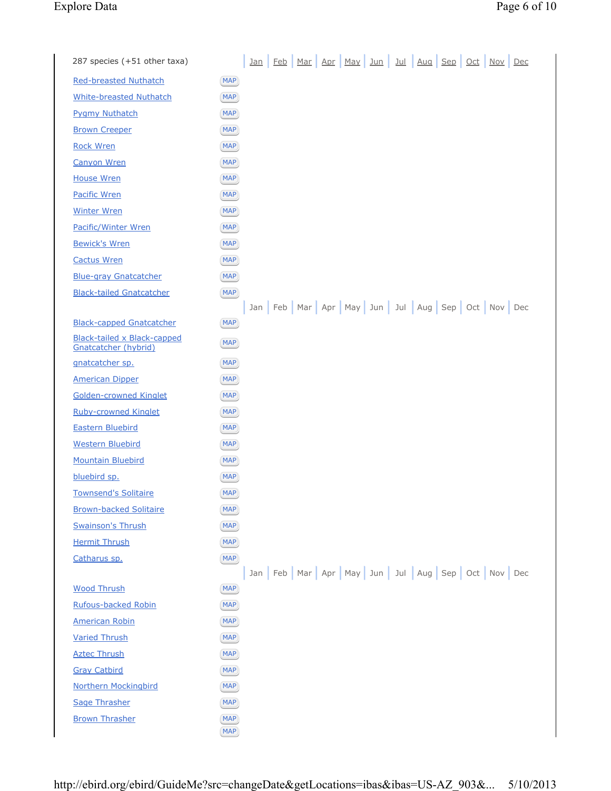| 287 species (+51 other taxa)                               |                          | <u>Jan</u> |  | <u>Feb Mar Apr May Jun</u> |  |  | <u>Jul Aug Sep Oct Nov Dec</u>                                        |  |
|------------------------------------------------------------|--------------------------|------------|--|----------------------------|--|--|-----------------------------------------------------------------------|--|
| <b>Red-breasted Nuthatch</b>                               | <b>MAP</b>               |            |  |                            |  |  |                                                                       |  |
| <b>White-breasted Nuthatch</b>                             | <b>MAP</b>               |            |  |                            |  |  |                                                                       |  |
| <b>Pygmy Nuthatch</b>                                      | <b>MAP</b>               |            |  |                            |  |  |                                                                       |  |
| <b>Brown Creeper</b>                                       | <b>MAP</b>               |            |  |                            |  |  |                                                                       |  |
| <b>Rock Wren</b>                                           | <b>MAP</b>               |            |  |                            |  |  |                                                                       |  |
| <b>Canyon Wren</b>                                         | <b>MAP</b>               |            |  |                            |  |  |                                                                       |  |
| <b>House Wren</b>                                          | <b>MAP</b>               |            |  |                            |  |  |                                                                       |  |
| <b>Pacific Wren</b>                                        | <b>MAP</b>               |            |  |                            |  |  |                                                                       |  |
| <b>Winter Wren</b>                                         | <b>MAP</b>               |            |  |                            |  |  |                                                                       |  |
| <b>Pacific/Winter Wren</b>                                 | <b>MAP</b>               |            |  |                            |  |  |                                                                       |  |
| <b>Bewick's Wren</b>                                       | <b>MAP</b>               |            |  |                            |  |  |                                                                       |  |
| <b>Cactus Wren</b>                                         | <b>MAP</b>               |            |  |                            |  |  |                                                                       |  |
| <b>Blue-gray Gnatcatcher</b>                               | <b>MAP</b>               |            |  |                            |  |  |                                                                       |  |
| <b>Black-tailed Gnatcatcher</b>                            | <b>MAP</b>               |            |  |                            |  |  |                                                                       |  |
|                                                            |                          |            |  |                            |  |  | Jan   Feb   Mar   Apr   May   Jun   Jul   Aug   Sep   Oct   Nov   Dec |  |
| <b>Black-capped Gnatcatcher</b>                            | <b>MAP</b>               |            |  |                            |  |  |                                                                       |  |
| <b>Black-tailed x Black-capped</b><br>Gnatcatcher (hybrid) | <b>MAP</b>               |            |  |                            |  |  |                                                                       |  |
| gnatcatcher sp.                                            | <b>MAP</b>               |            |  |                            |  |  |                                                                       |  |
| <b>American Dipper</b>                                     | <b>MAP</b>               |            |  |                            |  |  |                                                                       |  |
| <b>Golden-crowned Kinglet</b>                              | <b>MAP</b>               |            |  |                            |  |  |                                                                       |  |
| <b>Ruby-crowned Kinglet</b>                                | <b>MAP</b>               |            |  |                            |  |  |                                                                       |  |
| <b>Eastern Bluebird</b>                                    | <b>MAP</b>               |            |  |                            |  |  |                                                                       |  |
| <b>Western Bluebird</b>                                    | <b>MAP</b>               |            |  |                            |  |  |                                                                       |  |
| <b>Mountain Bluebird</b>                                   | <b>MAP</b>               |            |  |                            |  |  |                                                                       |  |
| bluebird sp.                                               | <b>MAP</b>               |            |  |                            |  |  |                                                                       |  |
| <b>Townsend's Solitaire</b>                                | <b>MAP</b>               |            |  |                            |  |  |                                                                       |  |
| <b>Brown-backed Solitaire</b>                              | <b>MAP</b>               |            |  |                            |  |  |                                                                       |  |
| <b>Swainson's Thrush</b>                                   | <b>MAP</b>               |            |  |                            |  |  |                                                                       |  |
| <b>Hermit Thrush</b>                                       | <b>MAP</b>               |            |  |                            |  |  |                                                                       |  |
| Catharus sp.                                               | <b>MAP</b>               |            |  |                            |  |  | Jan Feb Mar Apr May Jun Jul Aug Sep Oct Nov Dec                       |  |
| <b>Wood Thrush</b>                                         | <b>MAP</b>               |            |  |                            |  |  |                                                                       |  |
| <b>Rufous-backed Robin</b>                                 | <b>MAP</b>               |            |  |                            |  |  |                                                                       |  |
| <b>American Robin</b>                                      | <b>MAP</b>               |            |  |                            |  |  |                                                                       |  |
| <b>Varied Thrush</b>                                       | <b>MAP</b>               |            |  |                            |  |  |                                                                       |  |
| <b>Aztec Thrush</b>                                        | <b>MAP</b>               |            |  |                            |  |  |                                                                       |  |
| <b>Gray Catbird</b>                                        | <b>MAP</b>               |            |  |                            |  |  |                                                                       |  |
| <b>Northern Mockingbird</b>                                | <b>MAP</b>               |            |  |                            |  |  |                                                                       |  |
| <b>Sage Thrasher</b>                                       | <b>MAP</b>               |            |  |                            |  |  |                                                                       |  |
| <b>Brown Thrasher</b>                                      | <b>MAP</b><br><b>MAP</b> |            |  |                            |  |  |                                                                       |  |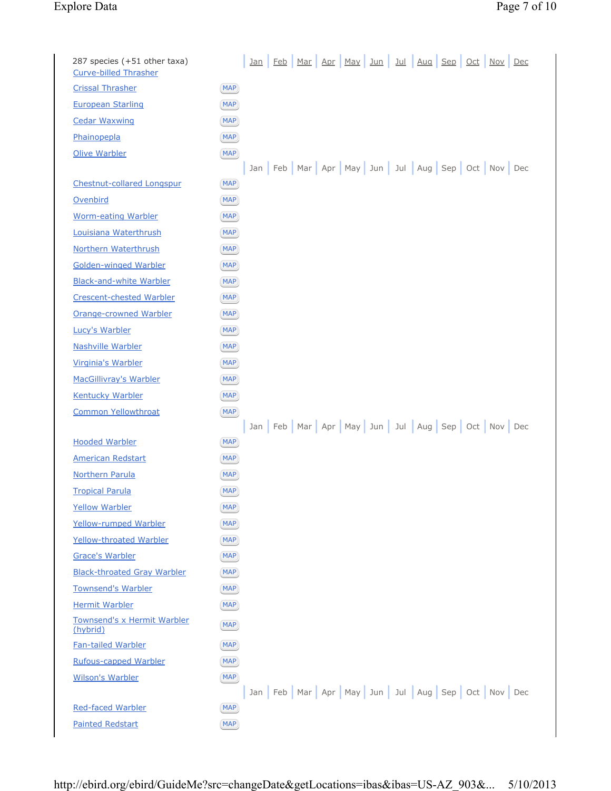# Explore Data Page 7 of 10

| 287 species (+51 other taxa)            | <u>Jan Feb Mar Apr May Jun Jul Aug Sep Oct Nov Dec</u>                |
|-----------------------------------------|-----------------------------------------------------------------------|
| <b>Curve-billed Thrasher</b>            |                                                                       |
| <b>Crissal Thrasher</b>                 | <b>MAP</b>                                                            |
| <b>European Starling</b>                | <b>MAP</b>                                                            |
| <b>Cedar Waxwing</b>                    | <b>MAP</b>                                                            |
| Phainopepla                             | <b>MAP</b>                                                            |
| <b>Olive Warbler</b>                    | <b>MAP</b>                                                            |
|                                         | Jan   Feb   Mar   Apr   May   Jun   Jul   Aug   Sep   Oct   Nov   Dec |
| <b>Chestnut-collared Longspur</b>       | <b>MAP</b>                                                            |
| Ovenbird                                | <b>MAP</b>                                                            |
| <b>Worm-eating Warbler</b>              | <b>MAP</b>                                                            |
| Louisiana Waterthrush                   | <b>MAP</b>                                                            |
| Northern Waterthrush                    | <b>MAP</b>                                                            |
| <b>Golden-winged Warbler</b>            | <b>MAP</b>                                                            |
| <b>Black-and-white Warbler</b>          | <b>MAP</b>                                                            |
| <b>Crescent-chested Warbler</b>         | <b>MAP</b>                                                            |
| <b>Orange-crowned Warbler</b>           | <b>MAP</b>                                                            |
| Lucy's Warbler                          | <b>MAP</b>                                                            |
| <b>Nashville Warbler</b>                | <b>MAP</b>                                                            |
| Virginia's Warbler                      | <b>MAP</b>                                                            |
| MacGillivray's Warbler                  | <b>MAP</b>                                                            |
| <b>Kentucky Warbler</b>                 | <b>MAP</b>                                                            |
| <b>Common Yellowthroat</b>              | <b>MAP</b>                                                            |
|                                         | Jan Feb Mar Apr May Jun Jul Aug Sep Oct Nov Dec                       |
| <b>Hooded Warbler</b>                   | <b>MAP</b>                                                            |
| <b>American Redstart</b>                | <b>MAP</b>                                                            |
| <b>Northern Parula</b>                  | <b>MAP</b>                                                            |
| <b>Tropical Parula</b>                  | <b>MAP</b>                                                            |
| <b>Yellow Warbler</b>                   | <b>MAP</b>                                                            |
| <b>Yellow-rumped Warbler</b>            | <b>MAP</b>                                                            |
| Yellow-throated Warbler                 | <b>MAP</b>                                                            |
| <b>Grace's Warbler</b>                  | <b>MAP</b>                                                            |
| <b>Black-throated Gray Warbler</b>      | <b>MAP</b>                                                            |
| <b>Townsend's Warbler</b>               | <b>MAP</b>                                                            |
| <b>Hermit Warbler</b>                   | <b>MAP</b>                                                            |
| Townsend's x Hermit Warbler<br>(hybrid) | <b>MAP</b>                                                            |
| <b>Fan-tailed Warbler</b>               | <b>MAP</b>                                                            |
| Rufous-capped Warbler                   | <b>MAP</b>                                                            |
| <b>Wilson's Warbler</b>                 | <b>MAP</b>                                                            |
|                                         | Jan Feb Mar Apr May Jun Jul Aug Sep Oct Nov Dec                       |
| <b>Red-faced Warbler</b>                | <b>MAP</b>                                                            |
| <b>Painted Redstart</b>                 | <b>MAP</b>                                                            |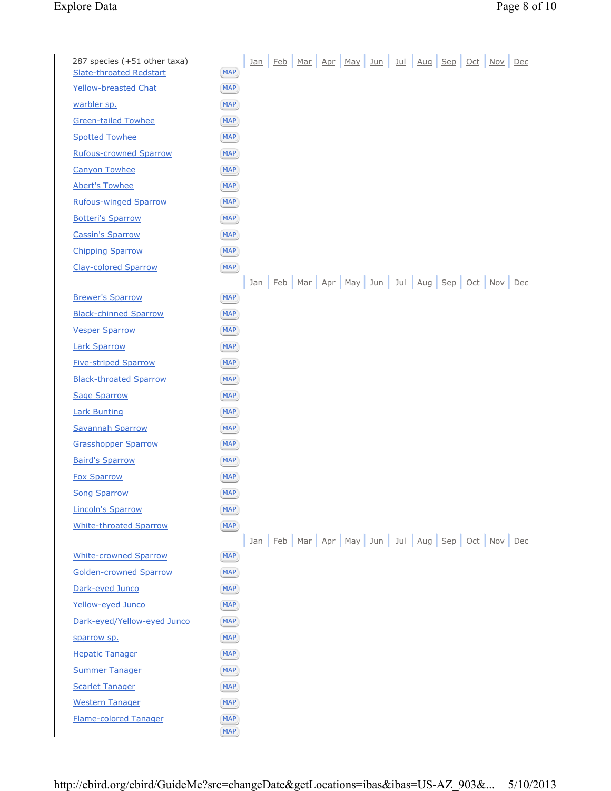# Explore Data Page 8 of 10

| 287 species (+51 other taxa)<br><b>Slate-throated Redstart</b> | <b>MAP</b>               |  |  |  |  |  | <u>Jan Feb Mar Apr May Jun Jul Aug Sep Oct Nov Dec</u>                |  |
|----------------------------------------------------------------|--------------------------|--|--|--|--|--|-----------------------------------------------------------------------|--|
| <b>Yellow-breasted Chat</b>                                    | <b>MAP</b>               |  |  |  |  |  |                                                                       |  |
| warbler sp.                                                    | <b>MAP</b>               |  |  |  |  |  |                                                                       |  |
| <b>Green-tailed Towhee</b>                                     | <b>MAP</b>               |  |  |  |  |  |                                                                       |  |
| <b>Spotted Towhee</b>                                          | <b>MAP</b>               |  |  |  |  |  |                                                                       |  |
| <b>Rufous-crowned Sparrow</b>                                  | <b>MAP</b>               |  |  |  |  |  |                                                                       |  |
| <b>Canyon Towhee</b>                                           | <b>MAP</b>               |  |  |  |  |  |                                                                       |  |
| <b>Abert's Towhee</b>                                          | <b>MAP</b>               |  |  |  |  |  |                                                                       |  |
| <b>Rufous-winged Sparrow</b>                                   | <b>MAP</b>               |  |  |  |  |  |                                                                       |  |
| <b>Botteri's Sparrow</b>                                       | <b>MAP</b>               |  |  |  |  |  |                                                                       |  |
| <b>Cassin's Sparrow</b>                                        | <b>MAP</b>               |  |  |  |  |  |                                                                       |  |
| <b>Chipping Sparrow</b>                                        | <b>MAP</b>               |  |  |  |  |  |                                                                       |  |
| <b>Clay-colored Sparrow</b>                                    | <b>MAP</b>               |  |  |  |  |  |                                                                       |  |
|                                                                |                          |  |  |  |  |  | Jan   Feb   Mar   Apr   May   Jun   Jul   Aug   Sep   Oct   Nov   Dec |  |
| <b>Brewer's Sparrow</b>                                        | <b>MAP</b>               |  |  |  |  |  |                                                                       |  |
| <b>Black-chinned Sparrow</b>                                   | <b>MAP</b>               |  |  |  |  |  |                                                                       |  |
| <b>Vesper Sparrow</b>                                          | <b>MAP</b>               |  |  |  |  |  |                                                                       |  |
| <b>Lark Sparrow</b>                                            | <b>MAP</b>               |  |  |  |  |  |                                                                       |  |
| <b>Five-striped Sparrow</b>                                    | <b>MAP</b>               |  |  |  |  |  |                                                                       |  |
| <b>Black-throated Sparrow</b>                                  | <b>MAP</b>               |  |  |  |  |  |                                                                       |  |
| <b>Sage Sparrow</b>                                            | <b>MAP</b>               |  |  |  |  |  |                                                                       |  |
| <b>Lark Bunting</b>                                            | <b>MAP</b>               |  |  |  |  |  |                                                                       |  |
| <b>Savannah Sparrow</b>                                        | <b>MAP</b>               |  |  |  |  |  |                                                                       |  |
| <b>Grasshopper Sparrow</b>                                     | <b>MAP</b>               |  |  |  |  |  |                                                                       |  |
| <b>Baird's Sparrow</b>                                         | <b>MAP</b>               |  |  |  |  |  |                                                                       |  |
| <b>Fox Sparrow</b>                                             | <b>MAP</b>               |  |  |  |  |  |                                                                       |  |
| <b>Song Sparrow</b>                                            | <b>MAP</b>               |  |  |  |  |  |                                                                       |  |
| <b>Lincoln's Sparrow</b>                                       | <b>MAP</b>               |  |  |  |  |  |                                                                       |  |
| <b>White-throated Sparrow</b>                                  | <b>MAP</b>               |  |  |  |  |  |                                                                       |  |
|                                                                |                          |  |  |  |  |  | Jan Feb Mar Apr May Jun Jul Aug Sep Oct Nov Dec                       |  |
| <b>White-crowned Sparrow</b>                                   | <b>MAP</b>               |  |  |  |  |  |                                                                       |  |
| <b>Golden-crowned Sparrow</b>                                  | <b>MAP</b>               |  |  |  |  |  |                                                                       |  |
| Dark-eyed Junco                                                | <b>MAP</b>               |  |  |  |  |  |                                                                       |  |
| Yellow-eyed Junco                                              | <b>MAP</b>               |  |  |  |  |  |                                                                       |  |
| Dark-eyed/Yellow-eyed Junco                                    | <b>MAP</b>               |  |  |  |  |  |                                                                       |  |
| sparrow sp.                                                    | <b>MAP</b>               |  |  |  |  |  |                                                                       |  |
| <b>Hepatic Tanager</b>                                         | <b>MAP</b>               |  |  |  |  |  |                                                                       |  |
| <b>Summer Tanager</b>                                          | <b>MAP</b>               |  |  |  |  |  |                                                                       |  |
| <b>Scarlet Tanager</b>                                         | <b>MAP</b>               |  |  |  |  |  |                                                                       |  |
| <b>Western Tanager</b>                                         | <b>MAP</b>               |  |  |  |  |  |                                                                       |  |
| <b>Flame-colored Tanager</b>                                   | <b>MAP</b><br><b>MAP</b> |  |  |  |  |  |                                                                       |  |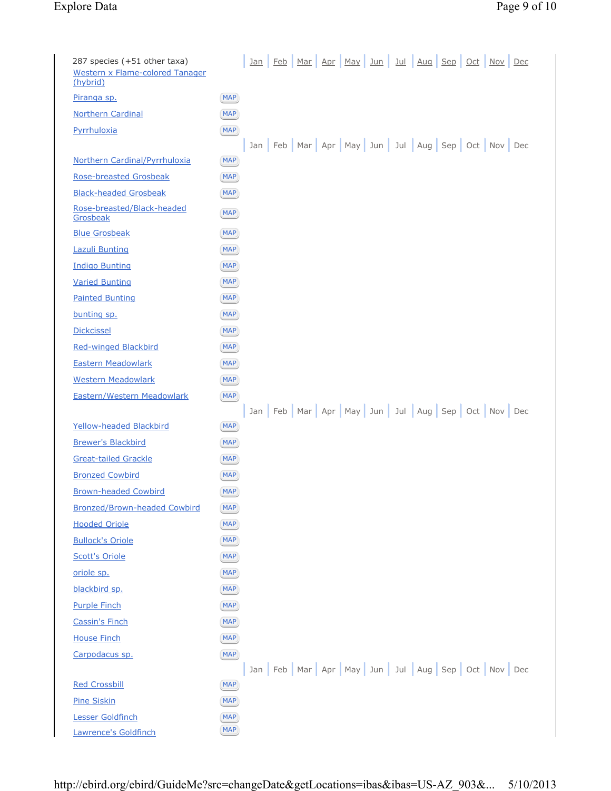# Explore Data Page 9 of 10

| 287 species (+51 other taxa)<br><b>Western x Flame-colored Tanager</b><br>(hybrid) |                          |  |  |  | <u>Jan Feb Mar Apr May Jun Jul Aug Sep Oct Nov Dec</u>                |  |  |
|------------------------------------------------------------------------------------|--------------------------|--|--|--|-----------------------------------------------------------------------|--|--|
| Piranga sp.                                                                        | <b>MAP</b>               |  |  |  |                                                                       |  |  |
| <b>Northern Cardinal</b>                                                           | <b>MAP</b>               |  |  |  |                                                                       |  |  |
| Pyrrhuloxia                                                                        | <b>MAP</b>               |  |  |  |                                                                       |  |  |
|                                                                                    |                          |  |  |  | Jan Feb Mar Apr May Jun Jul Aug Sep Oct Nov Dec                       |  |  |
| Northern Cardinal/Pyrrhuloxia                                                      | <b>MAP</b>               |  |  |  |                                                                       |  |  |
| <b>Rose-breasted Grosbeak</b>                                                      | <b>MAP</b>               |  |  |  |                                                                       |  |  |
| <b>Black-headed Grosbeak</b>                                                       | <b>MAP</b>               |  |  |  |                                                                       |  |  |
| Rose-breasted/Black-headed<br>Grosbeak                                             | <b>MAP</b>               |  |  |  |                                                                       |  |  |
| <b>Blue Grosbeak</b>                                                               | <b>MAP</b>               |  |  |  |                                                                       |  |  |
| <b>Lazuli Bunting</b>                                                              | <b>MAP</b>               |  |  |  |                                                                       |  |  |
| <b>Indigo Bunting</b>                                                              | <b>MAP</b>               |  |  |  |                                                                       |  |  |
| <b>Varied Bunting</b>                                                              | <b>MAP</b>               |  |  |  |                                                                       |  |  |
| <b>Painted Bunting</b>                                                             | <b>MAP</b>               |  |  |  |                                                                       |  |  |
| bunting sp.                                                                        | <b>MAP</b>               |  |  |  |                                                                       |  |  |
| <b>Dickcissel</b>                                                                  | <b>MAP</b>               |  |  |  |                                                                       |  |  |
| <b>Red-winged Blackbird</b>                                                        | <b>MAP</b>               |  |  |  |                                                                       |  |  |
| <b>Eastern Meadowlark</b>                                                          | <b>MAP</b>               |  |  |  |                                                                       |  |  |
| <b>Western Meadowlark</b>                                                          | <b>MAP</b>               |  |  |  |                                                                       |  |  |
| <b>Eastern/Western Meadowlark</b>                                                  | <b>MAP</b>               |  |  |  |                                                                       |  |  |
|                                                                                    |                          |  |  |  |                                                                       |  |  |
|                                                                                    |                          |  |  |  | Jan   Feb   Mar   Apr   May   Jun   Jul   Aug   Sep   Oct   Nov   Dec |  |  |
| Yellow-headed Blackbird                                                            | <b>MAP</b>               |  |  |  |                                                                       |  |  |
| <b>Brewer's Blackbird</b>                                                          | <b>MAP</b>               |  |  |  |                                                                       |  |  |
| <b>Great-tailed Grackle</b>                                                        | <b>MAP</b>               |  |  |  |                                                                       |  |  |
| <b>Bronzed Cowbird</b>                                                             | <b>MAP</b>               |  |  |  |                                                                       |  |  |
| <b>Brown-headed Cowbird</b>                                                        | <b>MAP</b>               |  |  |  |                                                                       |  |  |
| <b>Bronzed/Brown-headed Cowbird</b>                                                | <b>MAP</b>               |  |  |  |                                                                       |  |  |
| <b>Hooded Oriole</b>                                                               | <b>MAP</b>               |  |  |  |                                                                       |  |  |
| <b>Bullock's Oriole</b>                                                            | MAP                      |  |  |  |                                                                       |  |  |
| <b>Scott's Oriole</b>                                                              | MAP                      |  |  |  |                                                                       |  |  |
| oriole sp.                                                                         | <b>MAP</b>               |  |  |  |                                                                       |  |  |
| blackbird sp.                                                                      | MAP                      |  |  |  |                                                                       |  |  |
| <b>Purple Finch</b>                                                                | <b>MAP</b>               |  |  |  |                                                                       |  |  |
| <b>Cassin's Finch</b>                                                              | <b>MAP</b>               |  |  |  |                                                                       |  |  |
| <b>House Finch</b>                                                                 | <b>MAP</b>               |  |  |  |                                                                       |  |  |
| Carpodacus sp.                                                                     | <b>MAP</b>               |  |  |  |                                                                       |  |  |
|                                                                                    |                          |  |  |  | Jan Feb Mar Apr May Jun Jul Aug Sep Oct Nov Dec                       |  |  |
| <b>Red Crossbill</b>                                                               | <b>MAP</b>               |  |  |  |                                                                       |  |  |
| <b>Pine Siskin</b><br>Lesser Goldfinch                                             | <b>MAP</b><br><b>MAP</b> |  |  |  |                                                                       |  |  |